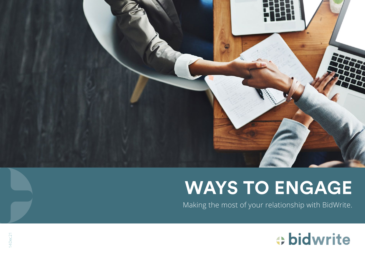

# **WAYS TO ENGAGE**

Making the most of your relationship with BidWrite.

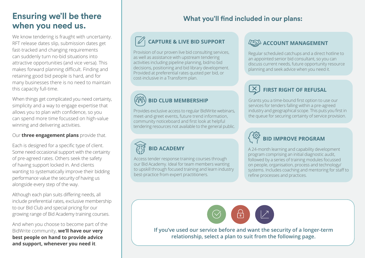# **Ensuring we'll be there ENSUTING WE II DE THEFE** What you'll find included in our plans:<br>
What you'll find included in our plans:

We know tendering is fraught with uncertainty. RFT release dates slip, submission dates get fast-tracked and changing requirements can suddenly turn no-bid situations into attractive opportunities (and vice versa). This makes forward planning difficult. Finding and retaining good bid people is hard, and for many businesses there is no need to maintain this capacity full-time.

When things get complicated you need certainty, simplicity and a way to engage expertise that allows you to plan with confidence, so you can spend more time focussed on high-value winning and delivering activities.

# Our **three engagement plans** provide that.

Each is designed for a specific type of client. Some need occasional support with the certainty of pre-agreed rates. Others seek the safety of having support locked in. And clients wanting to systematically improve their bidding performance value the security of having us alongside every step of the way.

Although each plan suits differing needs, all include preferential rates, exclusive membership to our Bid Club and special pricing for our growing range of Bid Academy training courses.

And when you choose to become part of the BidWrite community, **we'll have our very best people on hand to provide advice and support, whenever you need it**.

# **CAPTURE & LIVE BID SUPPORT**

Provision of our proven live bid consulting services, as well as assistance with upstream tendering activities including pipeline planning, bid/no bid decisions, positioning and bid library development. Provided at preferential rates quoted per bid, or cost-inclusive in a Transform plan.

# **BID CLUB MEMBERSHIP**

Provides exclusive access to regular BidWrite webinars, meet-and-greet events, future trend information, community noticeboard and first look at helpful tendering resources not available to the general public.

# **BID ACADEMY**

Access tender response training courses through our Bid Academy. Ideal for team members wanting to upskill through focused training and learn industry best-practice from expert practitioners.

# **AGOUNT MANAGEMENT**

Regular scheduled catchups and a direct hotline to an appointed senior bid consultant, so you can discuss current needs, future opportunity resource planning and seek advice when you need it.

# **FIRST RIGHT OF REFUSAL**

Grants you a time-bound first option to use our services for tenders falling within a pre-agreed industry and geographical scope. This puts you first in the queue for securing certainty of service provision.



A 24-month learning and capability development program comprising an initial diagnostic audit, followed by a series of training modules focussed on people, organisation, process and technology/ systems. Includes coaching and mentoring for staff to refine processes and practices.



**If you've used our service before and want the security of a longer-term relationship, select a plan to suit from the following page.**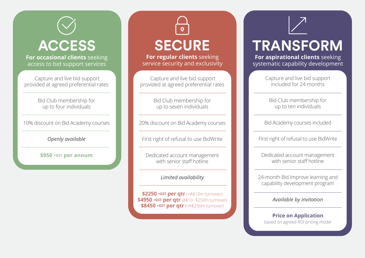

**For aspirational clients** seeking systematic capability development

> Capture and live bid support included for 24 months

Bid Club membership for up to ten individuals

Bid Academy courses included

First right of refusal to use BidWrite

Dedicated account management with senior staff hotline

24-month Bid Improve learning and capability development program

*Available by invitation*

**Price on Application** based on agreed ROI pricing model